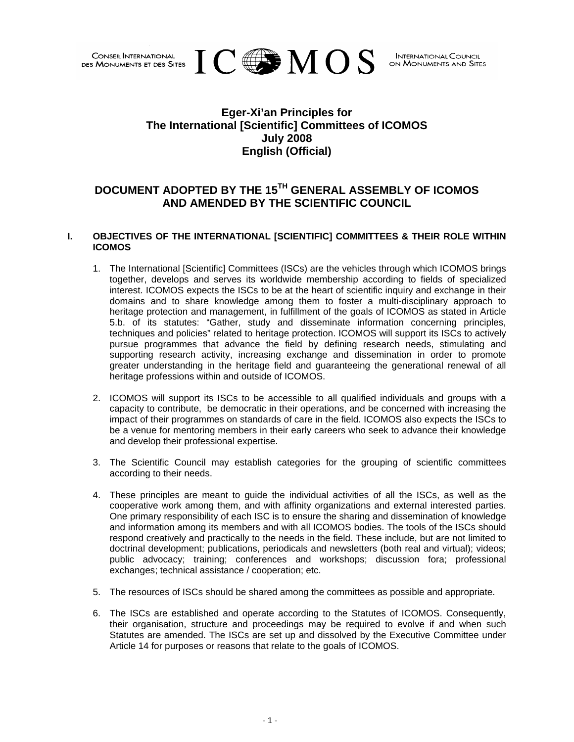

## **Eger-Xi'an Principles for The International [Scientific] Committees of ICOMOS July 2008 English (Official)**

# **DOCUMENT ADOPTED BY THE 15TH GENERAL ASSEMBLY OF ICOMOS AND AMENDED BY THE SCIENTIFIC COUNCIL**

## **I. OBJECTIVES OF THE INTERNATIONAL [SCIENTIFIC] COMMITTEES & THEIR ROLE WITHIN ICOMOS**

- 1. The International [Scientific] Committees (ISCs) are the vehicles through which ICOMOS brings together, develops and serves its worldwide membership according to fields of specialized interest. ICOMOS expects the ISCs to be at the heart of scientific inquiry and exchange in their domains and to share knowledge among them to foster a multi-disciplinary approach to heritage protection and management, in fulfillment of the goals of ICOMOS as stated in Article 5.b. of its statutes: "Gather, study and disseminate information concerning principles, techniques and policies" related to heritage protection. ICOMOS will support its ISCs to actively pursue programmes that advance the field by defining research needs, stimulating and supporting research activity, increasing exchange and dissemination in order to promote greater understanding in the heritage field and guaranteeing the generational renewal of all heritage professions within and outside of ICOMOS.
- 2. ICOMOS will support its ISCs to be accessible to all qualified individuals and groups with a capacity to contribute, be democratic in their operations, and be concerned with increasing the impact of their programmes on standards of care in the field. ICOMOS also expects the ISCs to be a venue for mentoring members in their early careers who seek to advance their knowledge and develop their professional expertise.
- 3. The Scientific Council may establish categories for the grouping of scientific committees according to their needs.
- 4. These principles are meant to guide the individual activities of all the ISCs, as well as the cooperative work among them, and with affinity organizations and external interested parties. One primary responsibility of each ISC is to ensure the sharing and dissemination of knowledge and information among its members and with all ICOMOS bodies. The tools of the ISCs should respond creatively and practically to the needs in the field. These include, but are not limited to doctrinal development; publications, periodicals and newsletters (both real and virtual); videos; public advocacy; training; conferences and workshops; discussion fora; professional exchanges; technical assistance / cooperation; etc.
- 5. The resources of ISCs should be shared among the committees as possible and appropriate.
- 6. The ISCs are established and operate according to the Statutes of ICOMOS. Consequently, their organisation, structure and proceedings may be required to evolve if and when such Statutes are amended. The ISCs are set up and dissolved by the Executive Committee under Article 14 for purposes or reasons that relate to the goals of ICOMOS.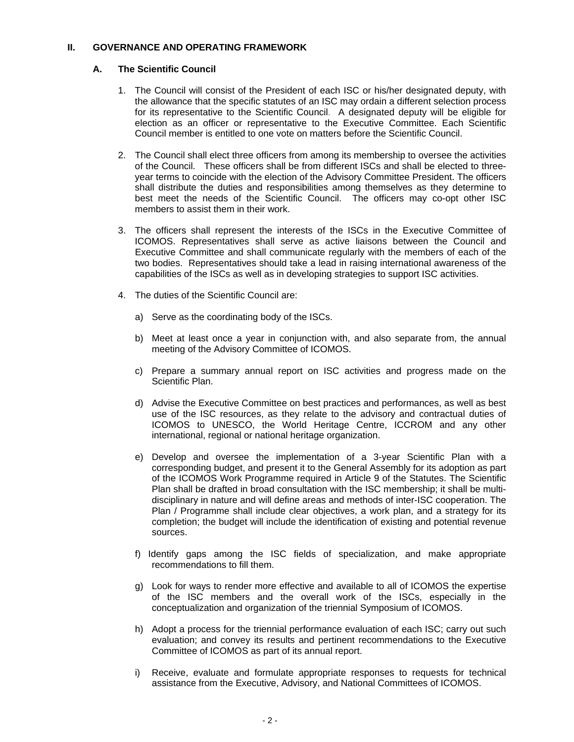#### **II. GOVERNANCE AND OPERATING FRAMEWORK**

## **A. The Scientific Council**

- 1. The Council will consist of the President of each ISC or his/her designated deputy, with the allowance that the specific statutes of an ISC may ordain a different selection process for its representative to the Scientific Council. A designated deputy will be eligible for election as an officer or representative to the Executive Committee. Each Scientific Council member is entitled to one vote on matters before the Scientific Council.
- 2. The Council shall elect three officers from among its membership to oversee the activities of the Council. These officers shall be from different ISCs and shall be elected to threeyear terms to coincide with the election of the Advisory Committee President. The officers shall distribute the duties and responsibilities among themselves as they determine to best meet the needs of the Scientific Council. The officers may co-opt other ISC members to assist them in their work.
- 3. The officers shall represent the interests of the ISCs in the Executive Committee of ICOMOS. Representatives shall serve as active liaisons between the Council and Executive Committee and shall communicate regularly with the members of each of the two bodies. Representatives should take a lead in raising international awareness of the capabilities of the ISCs as well as in developing strategies to support ISC activities.
- 4. The duties of the Scientific Council are:
	- a) Serve as the coordinating body of the ISCs.
	- b) Meet at least once a year in conjunction with, and also separate from, the annual meeting of the Advisory Committee of ICOMOS.
	- c) Prepare a summary annual report on ISC activities and progress made on the Scientific Plan.
	- d) Advise the Executive Committee on best practices and performances, as well as best use of the ISC resources, as they relate to the advisory and contractual duties of ICOMOS to UNESCO, the World Heritage Centre, ICCROM and any other international, regional or national heritage organization.
	- e) Develop and oversee the implementation of a 3-year Scientific Plan with a corresponding budget, and present it to the General Assembly for its adoption as part of the ICOMOS Work Programme required in Article 9 of the Statutes. The Scientific Plan shall be drafted in broad consultation with the ISC membership; it shall be multidisciplinary in nature and will define areas and methods of inter-ISC cooperation. The Plan / Programme shall include clear objectives, a work plan, and a strategy for its completion; the budget will include the identification of existing and potential revenue sources.
	- f) Identify gaps among the ISC fields of specialization, and make appropriate recommendations to fill them.
	- g) Look for ways to render more effective and available to all of ICOMOS the expertise of the ISC members and the overall work of the ISCs, especially in the conceptualization and organization of the triennial Symposium of ICOMOS.
	- h) Adopt a process for the triennial performance evaluation of each ISC; carry out such evaluation; and convey its results and pertinent recommendations to the Executive Committee of ICOMOS as part of its annual report.
	- i) Receive, evaluate and formulate appropriate responses to requests for technical assistance from the Executive, Advisory, and National Committees of ICOMOS.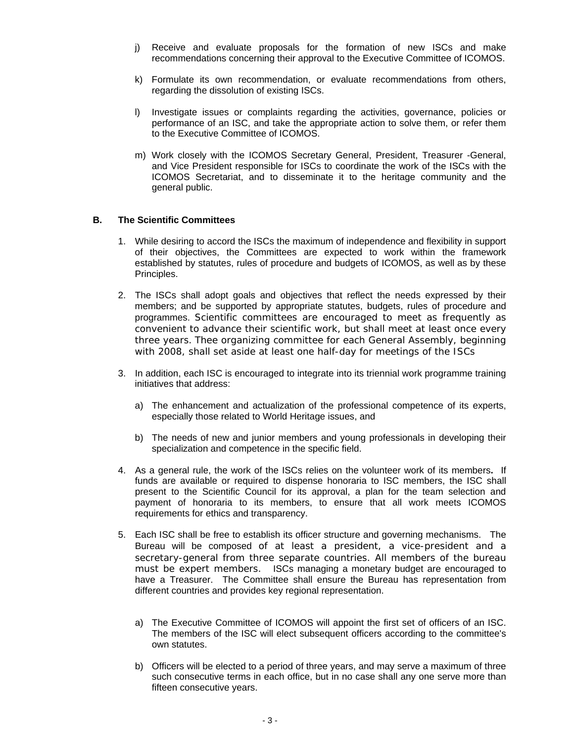- j) Receive and evaluate proposals for the formation of new ISCs and make recommendations concerning their approval to the Executive Committee of ICOMOS.
- k) Formulate its own recommendation, or evaluate recommendations from others, regarding the dissolution of existing ISCs.
- l) Investigate issues or complaints regarding the activities, governance, policies or performance of an ISC, and take the appropriate action to solve them, or refer them to the Executive Committee of ICOMOS.
- m) Work closely with the ICOMOS Secretary General, President, Treasurer -General, and Vice President responsible for ISCs to coordinate the work of the ISCs with the ICOMOS Secretariat, and to disseminate it to the heritage community and the general public.

#### **B. The Scientific Committees**

- 1. While desiring to accord the ISCs the maximum of independence and flexibility in support of their objectives, the Committees are expected to work within the framework established by statutes, rules of procedure and budgets of ICOMOS, as well as by these Principles.
- 2. The ISCs shall adopt goals and objectives that reflect the needs expressed by their members; and be supported by appropriate statutes, budgets, rules of procedure and programmes. Scientific committees are encouraged to meet as frequently as convenient to advance their scientific work, but shall meet at least once every three years. Thee organizing committee for each General Assembly, beginning with 2008, shall set aside at least one half-day for meetings of the ISCs
- 3. In addition, each ISC is encouraged to integrate into its triennial work programme training initiatives that address:
	- a) The enhancement and actualization of the professional competence of its experts, especially those related to World Heritage issues, and
	- b) The needs of new and junior members and young professionals in developing their specialization and competence in the specific field.
- 4. As a general rule, the work of the ISCs relies on the volunteer work of its members**.** If funds are available or required to dispense honoraria to ISC members, the ISC shall present to the Scientific Council for its approval, a plan for the team selection and payment of honoraria to its members, to ensure that all work meets ICOMOS requirements for ethics and transparency.
- 5. Each ISC shall be free to establish its officer structure and governing mechanisms. The Bureau will be composed of at least a president, a vice-president and a secretary-general from three separate countries. All members of the bureau must be expert members. ISCs managing a monetary budget are encouraged to have a Treasurer. The Committee shall ensure the Bureau has representation from different countries and provides key regional representation.
	- a) The Executive Committee of ICOMOS will appoint the first set of officers of an ISC. The members of the ISC will elect subsequent officers according to the committee's own statutes.
	- b) Officers will be elected to a period of three years, and may serve a maximum of three such consecutive terms in each office, but in no case shall any one serve more than fifteen consecutive years.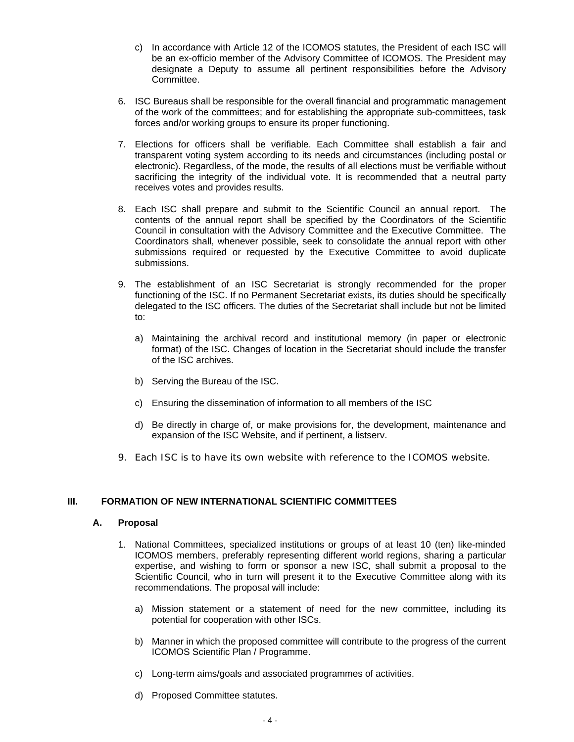- c) In accordance with Article 12 of the ICOMOS statutes, the President of each ISC will be an ex-officio member of the Advisory Committee of ICOMOS. The President may designate a Deputy to assume all pertinent responsibilities before the Advisory **Committee.**
- 6. ISC Bureaus shall be responsible for the overall financial and programmatic management of the work of the committees; and for establishing the appropriate sub-committees, task forces and/or working groups to ensure its proper functioning.
- 7. Elections for officers shall be verifiable. Each Committee shall establish a fair and transparent voting system according to its needs and circumstances (including postal or electronic). Regardless, of the mode, the results of all elections must be verifiable without sacrificing the integrity of the individual vote. It is recommended that a neutral party receives votes and provides results.
- 8. Each ISC shall prepare and submit to the Scientific Council an annual report. The contents of the annual report shall be specified by the Coordinators of the Scientific Council in consultation with the Advisory Committee and the Executive Committee. The Coordinators shall, whenever possible, seek to consolidate the annual report with other submissions required or requested by the Executive Committee to avoid duplicate submissions.
- 9. The establishment of an ISC Secretariat is strongly recommended for the proper functioning of the ISC. If no Permanent Secretariat exists, its duties should be specifically delegated to the ISC officers. The duties of the Secretariat shall include but not be limited to:
	- a) Maintaining the archival record and institutional memory (in paper or electronic format) of the ISC. Changes of location in the Secretariat should include the transfer of the ISC archives.
	- b) Serving the Bureau of the ISC.
	- c) Ensuring the dissemination of information to all members of the ISC
	- d) Be directly in charge of, or make provisions for, the development, maintenance and expansion of the ISC Website, and if pertinent, a listserv.
- 9. Each ISC is to have its own website with reference to the ICOMOS website.

## **III. FORMATION OF NEW INTERNATIONAL SCIENTIFIC COMMITTEES**

## **A. Proposal**

- 1. National Committees, specialized institutions or groups of at least 10 (ten) like-minded ICOMOS members, preferably representing different world regions, sharing a particular expertise, and wishing to form or sponsor a new ISC, shall submit a proposal to the Scientific Council, who in turn will present it to the Executive Committee along with its recommendations. The proposal will include:
	- a) Mission statement or a statement of need for the new committee, including its potential for cooperation with other ISCs.
	- b) Manner in which the proposed committee will contribute to the progress of the current ICOMOS Scientific Plan / Programme.
	- c) Long-term aims/goals and associated programmes of activities.
	- d) Proposed Committee statutes.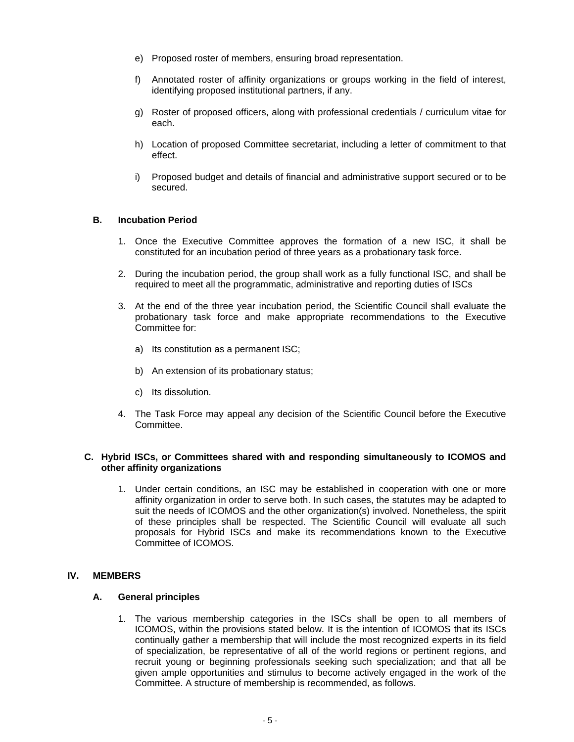- e) Proposed roster of members, ensuring broad representation.
- f) Annotated roster of affinity organizations or groups working in the field of interest, identifying proposed institutional partners, if any.
- g) Roster of proposed officers, along with professional credentials / curriculum vitae for each.
- h) Location of proposed Committee secretariat, including a letter of commitment to that effect.
- i) Proposed budget and details of financial and administrative support secured or to be secured.

#### **B. Incubation Period**

- 1. Once the Executive Committee approves the formation of a new ISC, it shall be constituted for an incubation period of three years as a probationary task force.
- 2. During the incubation period, the group shall work as a fully functional ISC, and shall be required to meet all the programmatic, administrative and reporting duties of ISCs
- 3. At the end of the three year incubation period, the Scientific Council shall evaluate the probationary task force and make appropriate recommendations to the Executive Committee for:
	- a) Its constitution as a permanent ISC;
	- b) An extension of its probationary status;
	- c) Its dissolution.
- 4. The Task Force may appeal any decision of the Scientific Council before the Executive Committee.

#### **C. Hybrid ISCs, or Committees shared with and responding simultaneously to ICOMOS and other affinity organizations**

1. Under certain conditions, an ISC may be established in cooperation with one or more affinity organization in order to serve both. In such cases, the statutes may be adapted to suit the needs of ICOMOS and the other organization(s) involved. Nonetheless, the spirit of these principles shall be respected. The Scientific Council will evaluate all such proposals for Hybrid ISCs and make its recommendations known to the Executive Committee of ICOMOS.

#### **IV. MEMBERS**

#### **A. General principles**

1. The various membership categories in the ISCs shall be open to all members of ICOMOS, within the provisions stated below. It is the intention of ICOMOS that its ISCs continually gather a membership that will include the most recognized experts in its field of specialization, be representative of all of the world regions or pertinent regions, and recruit young or beginning professionals seeking such specialization; and that all be given ample opportunities and stimulus to become actively engaged in the work of the Committee. A structure of membership is recommended, as follows.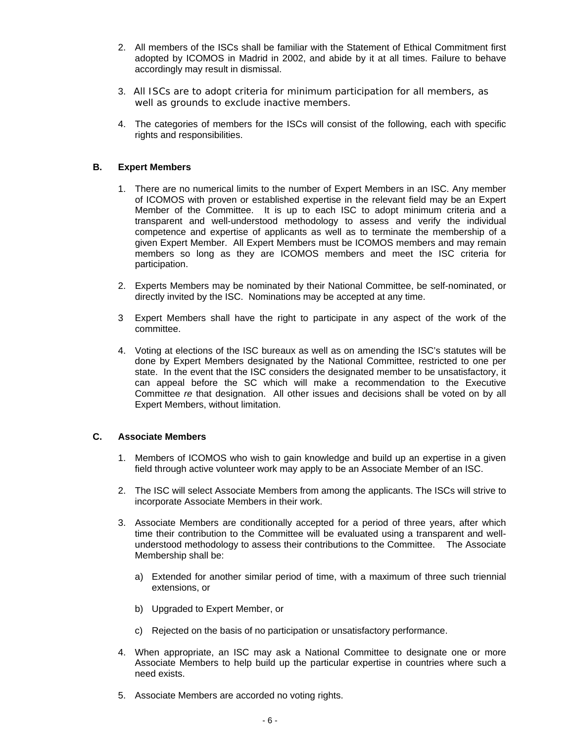- 2. All members of the ISCs shall be familiar with the Statement of Ethical Commitment first adopted by ICOMOS in Madrid in 2002, and abide by it at all times. Failure to behave accordingly may result in dismissal.
- 3. All ISCs are to adopt criteria for minimum participation for all members, as well as grounds to exclude inactive members.
- 4. The categories of members for the ISCs will consist of the following, each with specific rights and responsibilities.

## **B. Expert Members**

- 1. There are no numerical limits to the number of Expert Members in an ISC. Any member of ICOMOS with proven or established expertise in the relevant field may be an Expert Member of the Committee. It is up to each ISC to adopt minimum criteria and a transparent and well-understood methodology to assess and verify the individual competence and expertise of applicants as well as to terminate the membership of a given Expert Member. All Expert Members must be ICOMOS members and may remain members so long as they are ICOMOS members and meet the ISC criteria for participation.
- 2. Experts Members may be nominated by their National Committee, be self-nominated, or directly invited by the ISC. Nominations may be accepted at any time.
- 3 Expert Members shall have the right to participate in any aspect of the work of the committee.
- 4. Voting at elections of the ISC bureaux as well as on amending the ISC's statutes will be done by Expert Members designated by the National Committee, restricted to one per state. In the event that the ISC considers the designated member to be unsatisfactory, it can appeal before the SC which will make a recommendation to the Executive Committee *re* that designation. All other issues and decisions shall be voted on by all Expert Members, without limitation.

#### **C. Associate Members**

- 1. Members of ICOMOS who wish to gain knowledge and build up an expertise in a given field through active volunteer work may apply to be an Associate Member of an ISC.
- 2. The ISC will select Associate Members from among the applicants. The ISCs will strive to incorporate Associate Members in their work.
- 3. Associate Members are conditionally accepted for a period of three years, after which time their contribution to the Committee will be evaluated using a transparent and wellunderstood methodology to assess their contributions to the Committee. The Associate Membership shall be:
	- a) Extended for another similar period of time, with a maximum of three such triennial extensions, or
	- b) Upgraded to Expert Member, or
	- c) Rejected on the basis of no participation or unsatisfactory performance.
- 4. When appropriate, an ISC may ask a National Committee to designate one or more Associate Members to help build up the particular expertise in countries where such a need exists.
- 5. Associate Members are accorded no voting rights.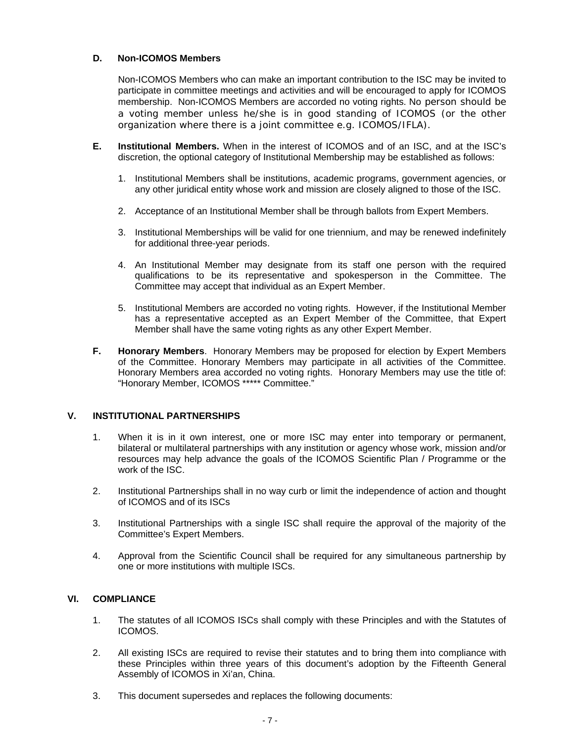## **D. Non-ICOMOS Members**

Non-ICOMOS Members who can make an important contribution to the ISC may be invited to participate in committee meetings and activities and will be encouraged to apply for ICOMOS membership. Non-ICOMOS Members are accorded no voting rights. No person should be a voting member unless he/she is in good standing of ICOMOS (or the other organization where there is a joint committee *e.g.* ICOMOS/IFLA).

- **E. Institutional Members.** When in the interest of ICOMOS and of an ISC, and at the ISC's discretion, the optional category of Institutional Membership may be established as follows:
	- 1. Institutional Members shall be institutions, academic programs, government agencies, or any other juridical entity whose work and mission are closely aligned to those of the ISC.
	- 2. Acceptance of an Institutional Member shall be through ballots from Expert Members.
	- 3. Institutional Memberships will be valid for one triennium, and may be renewed indefinitely for additional three-year periods.
	- 4. An Institutional Member may designate from its staff one person with the required qualifications to be its representative and spokesperson in the Committee. The Committee may accept that individual as an Expert Member.
	- 5. Institutional Members are accorded no voting rights. However, if the Institutional Member has a representative accepted as an Expert Member of the Committee, that Expert Member shall have the same voting rights as any other Expert Member.
- **F. Honorary Members**. Honorary Members may be proposed for election by Expert Members of the Committee. Honorary Members may participate in all activities of the Committee. Honorary Members area accorded no voting rights. Honorary Members may use the title of: "Honorary Member, ICOMOS \*\*\*\*\* Committee."

## **V. INSTITUTIONAL PARTNERSHIPS**

- 1. When it is in it own interest, one or more ISC may enter into temporary or permanent, bilateral or multilateral partnerships with any institution or agency whose work, mission and/or resources may help advance the goals of the ICOMOS Scientific Plan / Programme or the work of the ISC.
- 2. Institutional Partnerships shall in no way curb or limit the independence of action and thought of ICOMOS and of its ISCs
- 3. Institutional Partnerships with a single ISC shall require the approval of the majority of the Committee's Expert Members.
- 4. Approval from the Scientific Council shall be required for any simultaneous partnership by one or more institutions with multiple ISCs.

## **VI. COMPLIANCE**

- 1. The statutes of all ICOMOS ISCs shall comply with these Principles and with the Statutes of ICOMOS.
- 2. All existing ISCs are required to revise their statutes and to bring them into compliance with these Principles within three years of this document's adoption by the Fifteenth General Assembly of ICOMOS in Xi'an, China.
- 3. This document supersedes and replaces the following documents: